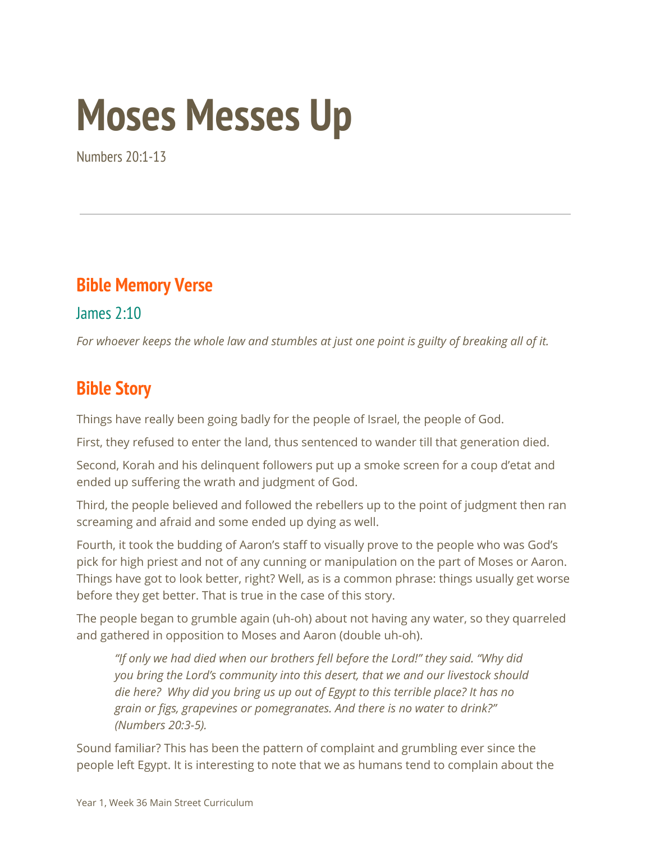# **Moses Messes Up**

Numbers 20:1-13

#### **Bible Memory Verse**

James 2:10

For whoever keeps the whole law and stumbles at just one point is guilty of breaking all of it.

### **Bible Story**

Things have really been going badly for the people of Israel, the people of God.

First, they refused to enter the land, thus sentenced to wander till that generation died.

Second, Korah and his delinquent followers put up a smoke screen for a coup d'etat and ended up suffering the wrath and judgment of God.

Third, the people believed and followed the rebellers up to the point of judgment then ran screaming and afraid and some ended up dying as well.

Fourth, it took the budding of Aaron's staff to visually prove to the people who was God's pick for high priest and not of any cunning or manipulation on the part of Moses or Aaron. Things have got to look better, right? Well, as is a common phrase: things usually get worse before they get better. That is true in the case of this story.

The people began to grumble again (uh-oh) about not having any water, so they quarreled and gathered in opposition to Moses and Aaron (double uh-oh).

*"If only we had died when our brothers fell before the Lord!" they said. "Why did you bring the Lord's community into this desert, that we and our livestock should die here? Why did you bring us up out of Egypt to this terrible place? It has no grain or figs, grapevines or pomegranates. And there is no water to drink?" (Numbers 20:3-5).*

Sound familiar? This has been the pattern of complaint and grumbling ever since the people left Egypt. It is interesting to note that we as humans tend to complain about the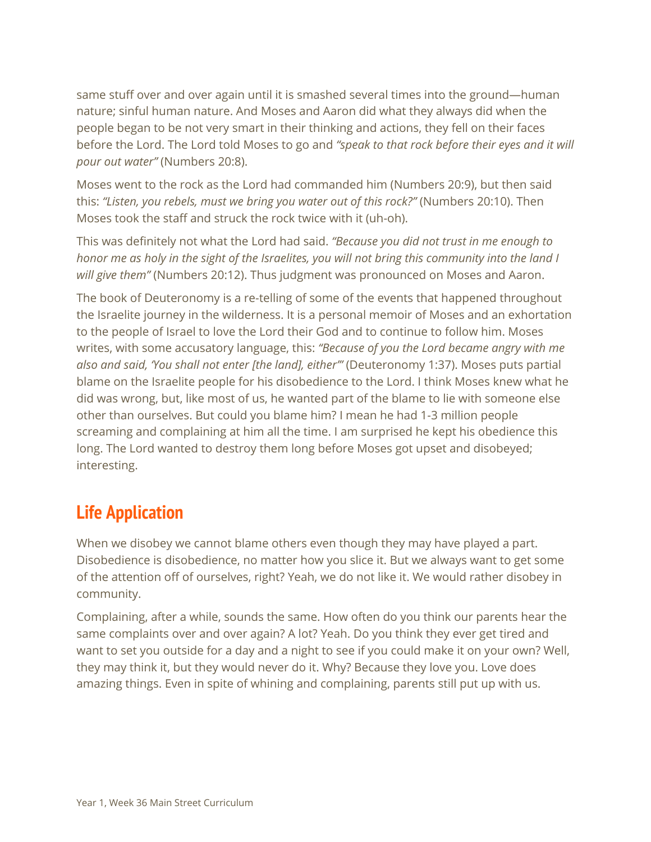same stuff over and over again until it is smashed several times into the ground—human nature; sinful human nature. And Moses and Aaron did what they always did when the people began to be not very smart in their thinking and actions, they fell on their faces before the Lord. The Lord told Moses to go and *"speak to that rock before their eyes and it will pour out water"* (Numbers 20:8).

Moses went to the rock as the Lord had commanded him (Numbers 20:9), but then said this: *"Listen, you rebels, must we bring you water out of this rock?"* (Numbers 20:10). Then Moses took the staff and struck the rock twice with it (uh-oh).

This was definitely not what the Lord had said. *"Because you did not trust in me enough to* honor me as holy in the sight of the Israelites, you will not bring this community into the land I *will give them"* (Numbers 20:12). Thus judgment was pronounced on Moses and Aaron.

The book of Deuteronomy is a re-telling of some of the events that happened throughout the Israelite journey in the wilderness. It is a personal memoir of Moses and an exhortation to the people of Israel to love the Lord their God and to continue to follow him. Moses writes, with some accusatory language, this: *"Because of you the Lord became angry with me also and said, 'You shall not enter [the land], either'"* (Deuteronomy 1:37). Moses puts partial blame on the Israelite people for his disobedience to the Lord. I think Moses knew what he did was wrong, but, like most of us, he wanted part of the blame to lie with someone else other than ourselves. But could you blame him? I mean he had 1-3 million people screaming and complaining at him all the time. I am surprised he kept his obedience this long. The Lord wanted to destroy them long before Moses got upset and disobeyed; interesting.

#### **Life Application**

When we disobey we cannot blame others even though they may have played a part. Disobedience is disobedience, no matter how you slice it. But we always want to get some of the attention off of ourselves, right? Yeah, we do not like it. We would rather disobey in community.

Complaining, after a while, sounds the same. How often do you think our parents hear the same complaints over and over again? A lot? Yeah. Do you think they ever get tired and want to set you outside for a day and a night to see if you could make it on your own? Well, they may think it, but they would never do it. Why? Because they love you. Love does amazing things. Even in spite of whining and complaining, parents still put up with us.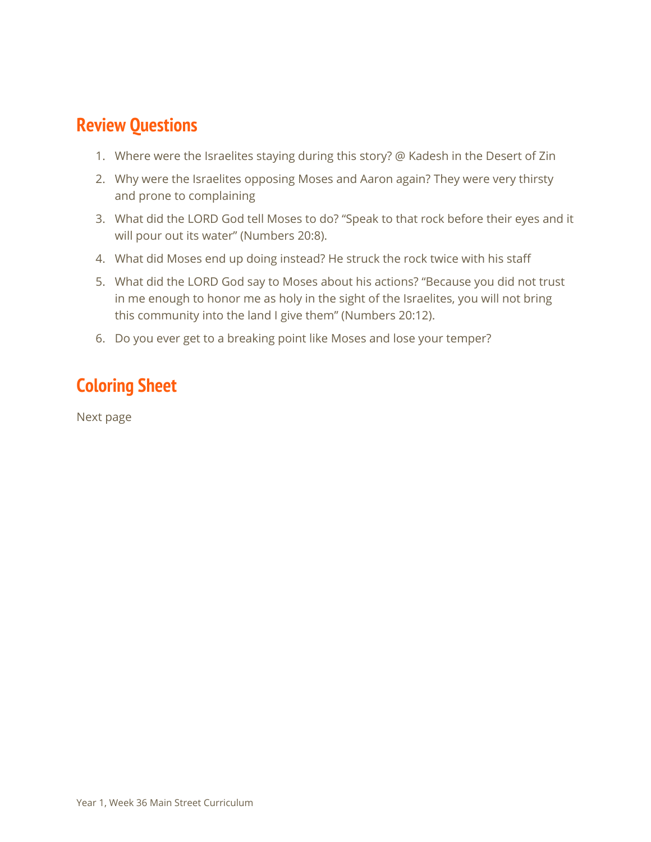#### **Review Questions**

- 1. Where were the Israelites staying during this story? @ Kadesh in the Desert of Zin
- 2. Why were the Israelites opposing Moses and Aaron again? They were very thirsty and prone to complaining
- 3. What did the LORD God tell Moses to do? "Speak to that rock before their eyes and it will pour out its water" (Numbers 20:8).
- 4. What did Moses end up doing instead? He struck the rock twice with his staff
- 5. What did the LORD God say to Moses about his actions? "Because you did not trust in me enough to honor me as holy in the sight of the Israelites, you will not bring this community into the land I give them" (Numbers 20:12).
- 6. Do you ever get to a breaking point like Moses and lose your temper?

## **Coloring Sheet**

Next page